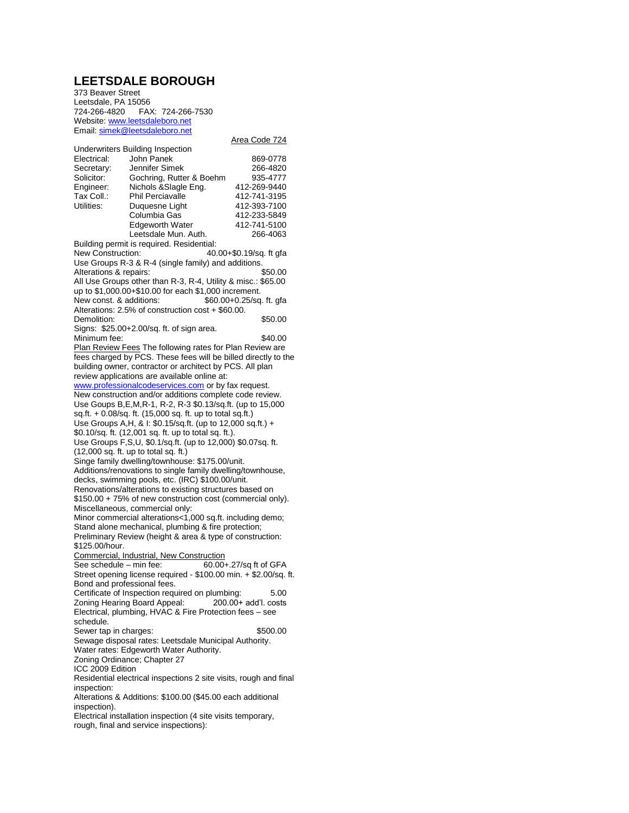## **LEETSDALE BOROUGH**

373 Beaver Street Leetsdale, PA 15056 724-266-4820 FAX: 724-266-7530 Website[: www.leetsdaleboro.net](http://www.leetsdaleboro.net/) Email[: simek@leetsdaleboro.net](mailto:simek@leetsdaleboro.net)

|                                                                                                             |                                                                  | Area Code 724          |
|-------------------------------------------------------------------------------------------------------------|------------------------------------------------------------------|------------------------|
|                                                                                                             | <b>Underwriters Building Inspection</b>                          |                        |
| Electrical:                                                                                                 | John Panek                                                       | 869-0778               |
| Secretary:                                                                                                  | Jennifer Simek                                                   | 266-4820               |
| Solicitor:                                                                                                  | Gochring, Rutter & Boehm                                         | 935-4777               |
|                                                                                                             |                                                                  | 412-269-9440           |
| Engineer:                                                                                                   | Nichols & Slagle Eng.<br><b>Phil Perciavalle</b>                 |                        |
| Tax Coll.:                                                                                                  |                                                                  | 412-741-3195           |
| Utilities:                                                                                                  | Duquesne Light                                                   | 412-393-7100           |
|                                                                                                             | Columbia Gas                                                     | 412-233-5849           |
|                                                                                                             | <b>Edgeworth Water</b>                                           | 412-741-5100           |
|                                                                                                             | Leetsdale Mun. Auth.                                             | 266-4063               |
| Building permit is required. Residential:                                                                   |                                                                  |                        |
| New Construction:<br>40.00+\$0.19/sg. ft gfa                                                                |                                                                  |                        |
| Use Groups R-3 & R-4 (single family) and additions.                                                         |                                                                  |                        |
| Alterations & repairs:                                                                                      |                                                                  | \$50.00                |
|                                                                                                             | All Use Groups other than R-3, R-4, Utility & misc.: \$65.00     |                        |
|                                                                                                             |                                                                  |                        |
| up to \$1,000.00+\$10.00 for each \$1,000 increment.<br>New const. & additions:<br>\$60.00+0.25/sq. ft. gfa |                                                                  |                        |
|                                                                                                             | Alterations: 2.5% of construction cost + \$60.00.                |                        |
|                                                                                                             |                                                                  |                        |
| Demolition:                                                                                                 |                                                                  | \$50.00                |
|                                                                                                             | Signs: \$25.00+2.00/sq. ft. of sign area.                        |                        |
| Minimum fee:                                                                                                |                                                                  | \$40.00                |
|                                                                                                             | Plan Review Fees The following rates for Plan Review are         |                        |
| fees charged by PCS. These fees will be billed directly to the                                              |                                                                  |                        |
| building owner, contractor or architect by PCS. All plan                                                    |                                                                  |                        |
| review applications are available online at:                                                                |                                                                  |                        |
| www.professionalcodeservices.com or by fax request.                                                         |                                                                  |                        |
| New construction and/or additions complete code review.                                                     |                                                                  |                        |
| Use Goups B, E, M, R-1, R-2, R-3 \$0.13/sq.ft. (up to 15,000                                                |                                                                  |                        |
|                                                                                                             | sq.ft. + 0.08/sq. ft. (15,000 sq. ft. up to total sq.ft.)        |                        |
| Use Groups A, H, & I: \$0.15/sq.ft. (up to 12,000 sq.ft.) +                                                 |                                                                  |                        |
|                                                                                                             |                                                                  |                        |
| \$0.10/sq. ft. (12,001 sq. ft. up to total sq. ft.).                                                        |                                                                  |                        |
| Use Groups F, S, U, \$0.1/sq.ft. (up to 12,000) \$0.07sq. ft.                                               |                                                                  |                        |
| $(12,000$ sq. ft. up to total sq. ft.)                                                                      |                                                                  |                        |
| Singe family dwelling/townhouse: \$175.00/unit.                                                             |                                                                  |                        |
| Additions/renovations to single family dwelling/townhouse,                                                  |                                                                  |                        |
| decks, swimming pools, etc. (IRC) \$100.00/unit.                                                            |                                                                  |                        |
| Renovations/alterations to existing structures based on                                                     |                                                                  |                        |
| \$150.00 + 75% of new construction cost (commercial only).                                                  |                                                                  |                        |
| Miscellaneous, commercial only:                                                                             |                                                                  |                        |
| Minor commercial alterations<1,000 sq.ft. including demo;                                                   |                                                                  |                        |
| Stand alone mechanical, plumbing & fire protection;                                                         |                                                                  |                        |
| Preliminary Review (height & area & type of construction:                                                   |                                                                  |                        |
| \$125.00/hour.                                                                                              |                                                                  |                        |
|                                                                                                             | Commercial, Industrial, New Construction                         |                        |
| See schedule - min fee:                                                                                     |                                                                  |                        |
|                                                                                                             |                                                                  | 60.00+.27/sq ft of GFA |
|                                                                                                             | Street opening license required - \$100.00 min. + \$2.00/sq. ft. |                        |
| Bond and professional fees.                                                                                 |                                                                  |                        |
|                                                                                                             | Certificate of Inspection required on plumbing:                  | 5.00                   |
|                                                                                                             | Zoning Hearing Board Appeal: 200.00+ add'l. costs                |                        |
| Electrical, plumbing, HVAC & Fire Protection fees - see                                                     |                                                                  |                        |
| schedule.                                                                                                   |                                                                  |                        |
| Sewer tap in charges:                                                                                       |                                                                  | \$500.00               |
| Sewage disposal rates: Leetsdale Municipal Authority.                                                       |                                                                  |                        |
| Water rates: Edgeworth Water Authority.                                                                     |                                                                  |                        |
| Zoning Ordinance; Chapter 27                                                                                |                                                                  |                        |
| ICC 2009 Edition                                                                                            |                                                                  |                        |
|                                                                                                             |                                                                  |                        |
| Residential electrical inspections 2 site visits, rough and final                                           |                                                                  |                        |
| inspection:                                                                                                 |                                                                  |                        |
| Alterations & Additions: \$100.00 (\$45.00 each additional                                                  |                                                                  |                        |
| inspection).                                                                                                |                                                                  |                        |
| Electrical installation inspection (4 site visits temporary,                                                |                                                                  |                        |
| rough, final and service inspections):                                                                      |                                                                  |                        |